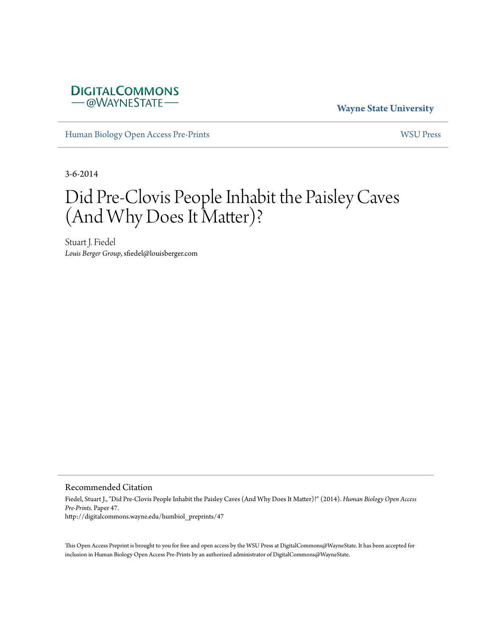

**Wayne State University**

[Human Biology Open Access Pre-Prints](http://digitalcommons.wayne.edu/humbiol_preprints) [WSU Press](http://digitalcommons.wayne.edu/wsupress)

3-6-2014

## Did Pre-Clovis People Inhabit the Paisley Caves (And Why Does It Matter)?

Stuart J. Fiedel *Louis Berger Group*, sfiedel@louisberger.com

Recommended Citation

Fiedel, Stuart J., "Did Pre-Clovis People Inhabit the Paisley Caves (And Why Does It Matter)?" (2014). *Human Biology Open Access Pre-Prints.* Paper 47. http://digitalcommons.wayne.edu/humbiol\_preprints/47

This Open Access Preprint is brought to you for free and open access by the WSU Press at DigitalCommons@WayneState. It has been accepted for inclusion in Human Biology Open Access Pre-Prints by an authorized administrator of DigitalCommons@WayneState.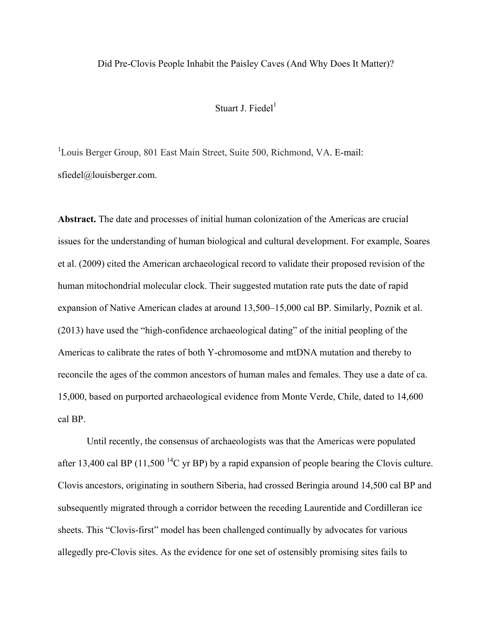## Did Pre-Clovis People Inhabit the Paisley Caves (And Why Does It Matter)?

## Stuart J. Fiedel $<sup>1</sup>$ </sup>

<sup>1</sup>Louis Berger Group, 801 East Main Street, Suite 500, Richmond, VA. E-mail: sfiedel@louisberger.com.

**Abstract.** The date and processes of initial human colonization of the Americas are crucial issues for the understanding of human biological and cultural development. For example, Soares et al. (2009) cited the American archaeological record to validate their proposed revision of the human mitochondrial molecular clock. Their suggested mutation rate puts the date of rapid expansion of Native American clades at around 13,500–15,000 cal BP. Similarly, Poznik et al. (2013) have used the "high-confidence archaeological dating" of the initial peopling of the Americas to calibrate the rates of both Y-chromosome and mtDNA mutation and thereby to reconcile the ages of the common ancestors of human males and females. They use a date of ca. 15,000, based on purported archaeological evidence from Monte Verde, Chile, dated to 14,600 cal BP.

Until recently, the consensus of archaeologists was that the Americas were populated after 13,400 cal BP (11,500<sup> $14$ </sup>C yr BP) by a rapid expansion of people bearing the Clovis culture. Clovis ancestors, originating in southern Siberia, had crossed Beringia around 14,500 cal BP and subsequently migrated through a corridor between the receding Laurentide and Cordilleran ice sheets. This "Clovis-first" model has been challenged continually by advocates for various allegedly pre-Clovis sites. As the evidence for one set of ostensibly promising sites fails to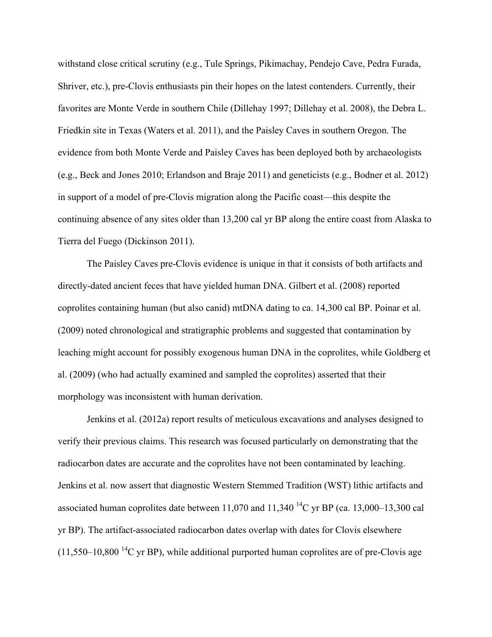withstand close critical scrutiny (e.g., Tule Springs, Pikimachay, Pendejo Cave, Pedra Furada, Shriver, etc.), pre-Clovis enthusiasts pin their hopes on the latest contenders. Currently, their favorites are Monte Verde in southern Chile (Dillehay 1997; Dillehay et al. 2008), the Debra L. Friedkin site in Texas (Waters et al. 2011), and the Paisley Caves in southern Oregon. The evidence from both Monte Verde and Paisley Caves has been deployed both by archaeologists (e.g., Beck and Jones 2010; Erlandson and Braje 2011) and geneticists (e.g., Bodner et al. 2012) in support of a model of pre-Clovis migration along the Pacific coast—this despite the continuing absence of any sites older than 13,200 cal yr BP along the entire coast from Alaska to Tierra del Fuego (Dickinson 2011).

The Paisley Caves pre-Clovis evidence is unique in that it consists of both artifacts and directly-dated ancient feces that have yielded human DNA. Gilbert et al. (2008) reported coprolites containing human (but also canid) mtDNA dating to ca. 14,300 cal BP. Poinar et al. (2009) noted chronological and stratigraphic problems and suggested that contamination by leaching might account for possibly exogenous human DNA in the coprolites, while Goldberg et al. (2009) (who had actually examined and sampled the coprolites) asserted that their morphology was inconsistent with human derivation.

Jenkins et al. (2012a) report results of meticulous excavations and analyses designed to verify their previous claims. This research was focused particularly on demonstrating that the radiocarbon dates are accurate and the coprolites have not been contaminated by leaching. Jenkins et al. now assert that diagnostic Western Stemmed Tradition (WST) lithic artifacts and associated human coprolites date between 11,070 and 11,340<sup>-14</sup>C yr BP (ca. 13,000–13,300 cal yr BP). The artifact-associated radiocarbon dates overlap with dates for Clovis elsewhere  $(11,550-10,800$  <sup>14</sup>C yr BP), while additional purported human coprolites are of pre-Clovis age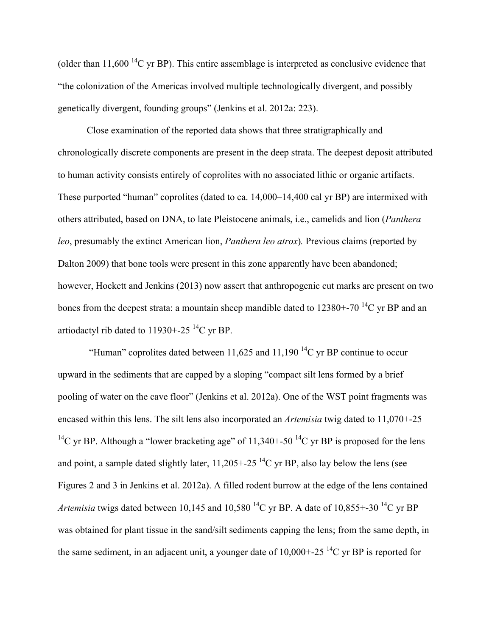(older than  $11,600$  <sup>14</sup>C yr BP). This entire assemblage is interpreted as conclusive evidence that "the colonization of the Americas involved multiple technologically divergent, and possibly genetically divergent, founding groups" (Jenkins et al. 2012a: 223).

Close examination of the reported data shows that three stratigraphically and chronologically discrete components are present in the deep strata. The deepest deposit attributed to human activity consists entirely of coprolites with no associated lithic or organic artifacts. These purported "human" coprolites (dated to ca. 14,000–14,400 cal yr BP) are intermixed with others attributed, based on DNA, to late Pleistocene animals, i.e., camelids and lion (*Panthera leo*, presumably the extinct American lion, *Panthera leo atrox*)*.* Previous claims (reported by Dalton 2009) that bone tools were present in this zone apparently have been abandoned; however, Hockett and Jenkins (2013) now assert that anthropogenic cut marks are present on two bones from the deepest strata: a mountain sheep mandible dated to  $12380+-70^{14}C$  vr BP and an artiodactyl rib dated to 11930+-25<sup>14</sup>C yr BP.

"Human" coprolites dated between 11,625 and 11,190<sup> $14$ </sup>C yr BP continue to occur upward in the sediments that are capped by a sloping "compact silt lens formed by a brief pooling of water on the cave floor" (Jenkins et al. 2012a). One of the WST point fragments was encased within this lens. The silt lens also incorporated an *Artemisia* twig dated to 11,070+-25 <sup>14</sup>C yr BP. Although a "lower bracketing age" of 11,340+-50<sup>-14</sup>C yr BP is proposed for the lens and point, a sample dated slightly later,  $11,205 + -25$  <sup>14</sup>C yr BP, also lay below the lens (see Figures 2 and 3 in Jenkins et al. 2012a). A filled rodent burrow at the edge of the lens contained *Artemisia* twigs dated between 10,145 and 10,580<sup>14</sup>C yr BP. A date of 10,855+-30<sup>14</sup>C yr BP was obtained for plant tissue in the sand/silt sediments capping the lens; from the same depth, in the same sediment, in an adjacent unit, a younger date of  $10,000 + 25$  <sup>14</sup>C yr BP is reported for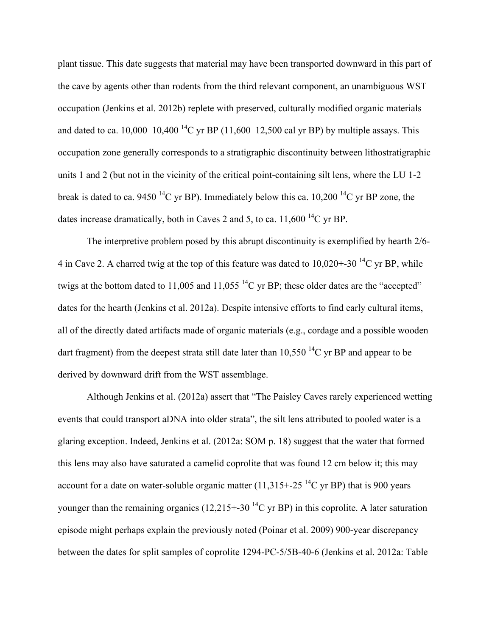plant tissue. This date suggests that material may have been transported downward in this part of the cave by agents other than rodents from the third relevant component, an unambiguous WST occupation (Jenkins et al. 2012b) replete with preserved, culturally modified organic materials and dated to ca.  $10,000-10,400$  <sup>14</sup>C yr BP (11,600–12,500 cal yr BP) by multiple assays. This occupation zone generally corresponds to a stratigraphic discontinuity between lithostratigraphic units 1 and 2 (but not in the vicinity of the critical point-containing silt lens, where the LU 1-2 break is dated to ca. 9450<sup>14</sup>C yr BP). Immediately below this ca. 10,200<sup>14</sup>C yr BP zone, the dates increase dramatically, both in Caves 2 and 5, to ca.  $11,600^{14}$ C yr BP.

The interpretive problem posed by this abrupt discontinuity is exemplified by hearth 2/6- 4 in Cave 2. A charred twig at the top of this feature was dated to  $10,020+30^{14}$ C yr BP, while twigs at the bottom dated to 11,005 and 11,055<sup>14</sup>C yr BP; these older dates are the "accepted" dates for the hearth (Jenkins et al. 2012a). Despite intensive efforts to find early cultural items, all of the directly dated artifacts made of organic materials (e.g., cordage and a possible wooden dart fragment) from the deepest strata still date later than  $10,550$  <sup>14</sup>C yr BP and appear to be derived by downward drift from the WST assemblage.

Although Jenkins et al. (2012a) assert that "The Paisley Caves rarely experienced wetting events that could transport aDNA into older strata", the silt lens attributed to pooled water is a glaring exception. Indeed, Jenkins et al. (2012a: SOM p. 18) suggest that the water that formed this lens may also have saturated a camelid coprolite that was found 12 cm below it; this may account for a date on water-soluble organic matter (11,315+-25<sup>14</sup>C yr BP) that is 900 years younger than the remaining organics (12,215+-30<sup>-14</sup>C yr BP) in this coprolite. A later saturation episode might perhaps explain the previously noted (Poinar et al. 2009) 900-year discrepancy between the dates for split samples of coprolite 1294-PC-5/5B-40-6 (Jenkins et al. 2012a: Table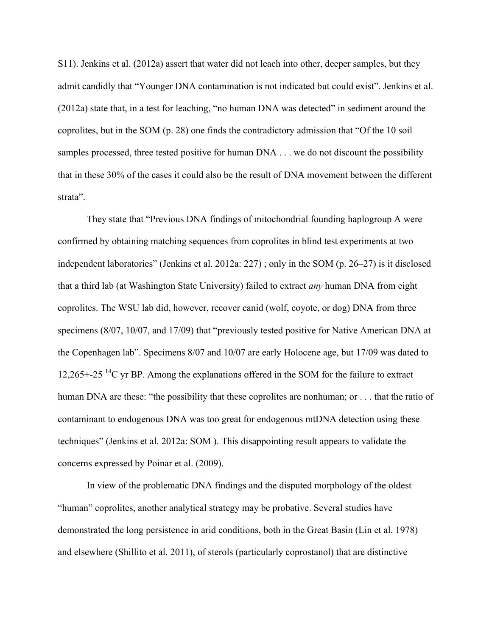S11). Jenkins et al. (2012a) assert that water did not leach into other, deeper samples, but they admit candidly that "Younger DNA contamination is not indicated but could exist". Jenkins et al. (2012a) state that, in a test for leaching, "no human DNA was detected" in sediment around the coprolites, but in the SOM (p. 28) one finds the contradictory admission that "Of the 10 soil samples processed, three tested positive for human DNA . . . we do not discount the possibility that in these 30% of the cases it could also be the result of DNA movement between the different strata".

They state that "Previous DNA findings of mitochondrial founding haplogroup A were confirmed by obtaining matching sequences from coprolites in blind test experiments at two independent laboratories" (Jenkins et al. 2012a: 227) ; only in the SOM (p. 26–27) is it disclosed that a third lab (at Washington State University) failed to extract *any* human DNA from eight coprolites. The WSU lab did, however, recover canid (wolf, coyote, or dog) DNA from three specimens (8/07, 10/07, and 17/09) that "previously tested positive for Native American DNA at the Copenhagen lab". Specimens 8/07 and 10/07 are early Holocene age, but 17/09 was dated to 12,265+-25<sup> $14$ </sup>C yr BP. Among the explanations offered in the SOM for the failure to extract human DNA are these: "the possibility that these coprolites are nonhuman; or . . . that the ratio of contaminant to endogenous DNA was too great for endogenous mtDNA detection using these techniques" (Jenkins et al. 2012a: SOM ). This disappointing result appears to validate the concerns expressed by Poinar et al. (2009).

In view of the problematic DNA findings and the disputed morphology of the oldest "human" coprolites, another analytical strategy may be probative. Several studies have demonstrated the long persistence in arid conditions, both in the Great Basin (Lin et al. 1978) and elsewhere (Shillito et al. 2011), of sterols (particularly coprostanol) that are distinctive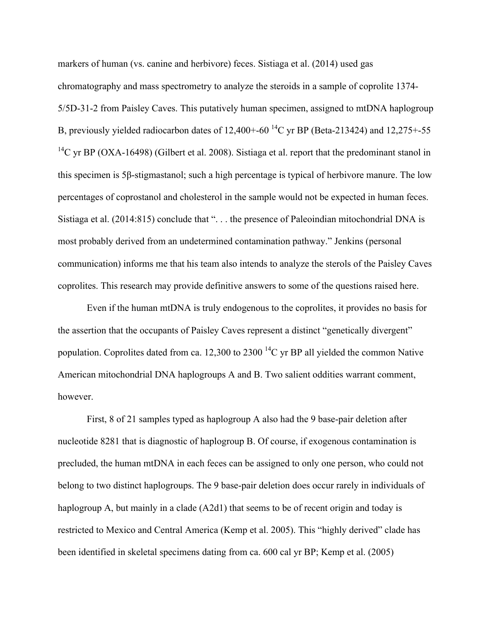markers of human (vs. canine and herbivore) feces. Sistiaga et al. (2014) used gas chromatography and mass spectrometry to analyze the steroids in a sample of coprolite 1374- 5/5D-31-2 from Paisley Caves. This putatively human specimen, assigned to mtDNA haplogroup B, previously yielded radiocarbon dates of  $12,400+60^{14}$ C yr BP (Beta-213424) and  $12,275+55$ <sup>14</sup>C yr BP (OXA-16498) (Gilbert et al. 2008). Sistiaga et al. report that the predominant stanol in this specimen is 5β-stigmastanol; such a high percentage is typical of herbivore manure. The low percentages of coprostanol and cholesterol in the sample would not be expected in human feces. Sistiaga et al. (2014:815) conclude that ". . . the presence of Paleoindian mitochondrial DNA is most probably derived from an undetermined contamination pathway." Jenkins (personal communication) informs me that his team also intends to analyze the sterols of the Paisley Caves coprolites. This research may provide definitive answers to some of the questions raised here.

Even if the human mtDNA is truly endogenous to the coprolites, it provides no basis for the assertion that the occupants of Paisley Caves represent a distinct "genetically divergent" population. Coprolites dated from ca. 12,300 to 2300<sup>-14</sup>C yr BP all yielded the common Native American mitochondrial DNA haplogroups A and B. Two salient oddities warrant comment, however.

First, 8 of 21 samples typed as haplogroup A also had the 9 base-pair deletion after nucleotide 8281 that is diagnostic of haplogroup B. Of course, if exogenous contamination is precluded, the human mtDNA in each feces can be assigned to only one person, who could not belong to two distinct haplogroups. The 9 base-pair deletion does occur rarely in individuals of haplogroup A, but mainly in a clade (A2d1) that seems to be of recent origin and today is restricted to Mexico and Central America (Kemp et al. 2005). This "highly derived" clade has been identified in skeletal specimens dating from ca. 600 cal yr BP; Kemp et al. (2005)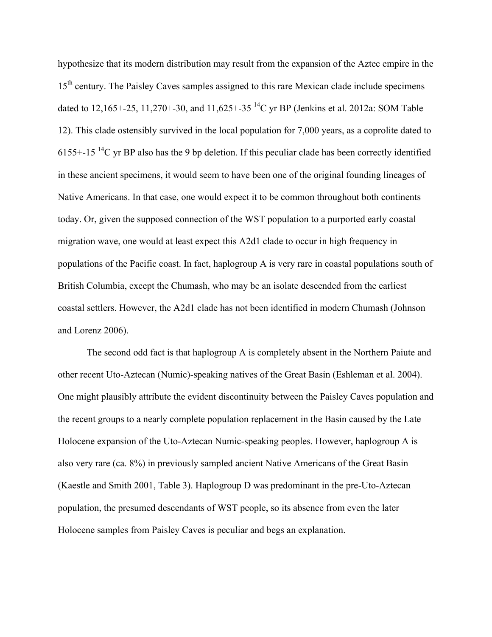hypothesize that its modern distribution may result from the expansion of the Aztec empire in the 15<sup>th</sup> century. The Paisley Caves samples assigned to this rare Mexican clade include specimens dated to 12,165+-25, 11,270+-30, and 11,625+-35 14C yr BP (Jenkins et al. 2012a: SOM Table 12). This clade ostensibly survived in the local population for 7,000 years, as a coprolite dated to 6155+-15<sup>-14</sup>C yr BP also has the 9 bp deletion. If this peculiar clade has been correctly identified in these ancient specimens, it would seem to have been one of the original founding lineages of Native Americans. In that case, one would expect it to be common throughout both continents today. Or, given the supposed connection of the WST population to a purported early coastal migration wave, one would at least expect this A2d1 clade to occur in high frequency in populations of the Pacific coast. In fact, haplogroup A is very rare in coastal populations south of British Columbia, except the Chumash, who may be an isolate descended from the earliest coastal settlers. However, the A2d1 clade has not been identified in modern Chumash (Johnson and Lorenz 2006).

The second odd fact is that haplogroup A is completely absent in the Northern Paiute and other recent Uto-Aztecan (Numic)-speaking natives of the Great Basin (Eshleman et al. 2004). One might plausibly attribute the evident discontinuity between the Paisley Caves population and the recent groups to a nearly complete population replacement in the Basin caused by the Late Holocene expansion of the Uto-Aztecan Numic-speaking peoples. However, haplogroup A is also very rare (ca. 8%) in previously sampled ancient Native Americans of the Great Basin (Kaestle and Smith 2001, Table 3). Haplogroup D was predominant in the pre-Uto-Aztecan population, the presumed descendants of WST people, so its absence from even the later Holocene samples from Paisley Caves is peculiar and begs an explanation.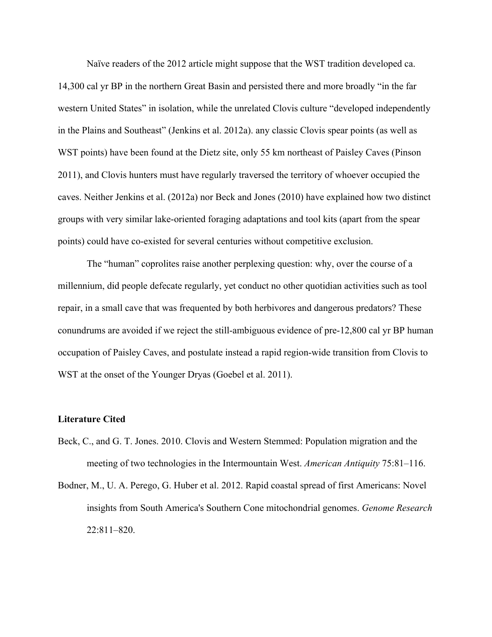Naïve readers of the 2012 article might suppose that the WST tradition developed ca. 14,300 cal yr BP in the northern Great Basin and persisted there and more broadly "in the far western United States" in isolation, while the unrelated Clovis culture "developed independently in the Plains and Southeast" (Jenkins et al. 2012a). any classic Clovis spear points (as well as WST points) have been found at the Dietz site, only 55 km northeast of Paisley Caves (Pinson 2011), and Clovis hunters must have regularly traversed the territory of whoever occupied the caves. Neither Jenkins et al. (2012a) nor Beck and Jones (2010) have explained how two distinct groups with very similar lake-oriented foraging adaptations and tool kits (apart from the spear points) could have co-existed for several centuries without competitive exclusion.

The "human" coprolites raise another perplexing question: why, over the course of a millennium, did people defecate regularly, yet conduct no other quotidian activities such as tool repair, in a small cave that was frequented by both herbivores and dangerous predators? These conundrums are avoided if we reject the still-ambiguous evidence of pre-12,800 cal yr BP human occupation of Paisley Caves, and postulate instead a rapid region-wide transition from Clovis to WST at the onset of the Younger Dryas (Goebel et al. 2011).

## **Literature Cited**

- Beck, C., and G. T. Jones. 2010. Clovis and Western Stemmed: Population migration and the meeting of two technologies in the Intermountain West. *American Antiquity* 75:81–116.
- Bodner, M., U. A. Perego, G. Huber et al. 2012. Rapid coastal spread of first Americans: Novel insights from South America's Southern Cone mitochondrial genomes. *Genome Research* 22:811–820.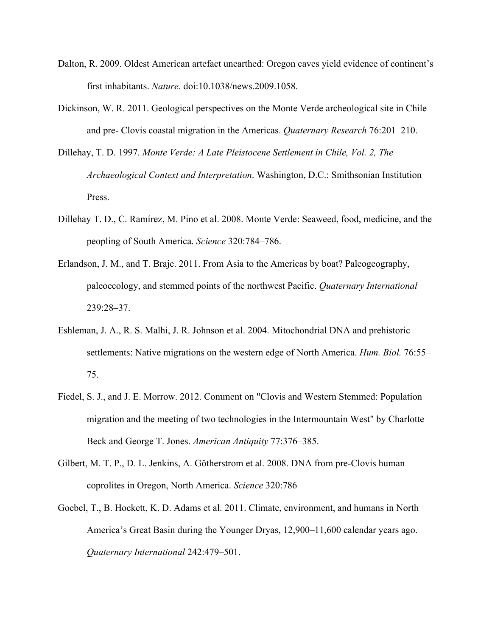- Dalton, R. 2009. Oldest American artefact unearthed: Oregon caves yield evidence of continent's first inhabitants. *Nature.* doi:10.1038/news.2009.1058.
- Dickinson, W. R. 2011. Geological perspectives on the Monte Verde archeological site in Chile and pre- Clovis coastal migration in the Americas. *Quaternary Research* 76:201–210.
- Dillehay, T. D. 1997. *Monte Verde: A Late Pleistocene Settlement in Chile, Vol. 2, The Archaeological Context and Interpretation*. Washington, D.C.: Smithsonian Institution Press.
- Dillehay T. D., C. Ramírez, M. Pino et al. 2008. Monte Verde: Seaweed, food, medicine, and the peopling of South America. *Science* 320:784–786.
- Erlandson, J. M., and T. Braje. 2011. From Asia to the Americas by boat? Paleogeography, paleoecology, and stemmed points of the northwest Pacific. *Quaternary International* 239:28–37.
- Eshleman, J. A., R. S. Malhi, J. R. Johnson et al. 2004. Mitochondrial DNA and prehistoric settlements: Native migrations on the western edge of North America. *Hum. Biol.* 76:55– 75.
- Fiedel, S. J., and J. E. Morrow. 2012. Comment on "Clovis and Western Stemmed: Population migration and the meeting of two technologies in the Intermountain West" by Charlotte Beck and George T. Jones. *American Antiquity* 77:376–385.
- Gilbert, M. T. P., D. L. Jenkins, A. Götherstrom et al. 2008. DNA from pre-Clovis human coprolites in Oregon, North America. *Science* 320:786
- Goebel, T., B. Hockett, K. D. Adams et al. 2011. Climate, environment, and humans in North America's Great Basin during the Younger Dryas, 12,900–11,600 calendar years ago. *Quaternary International* 242:479–501.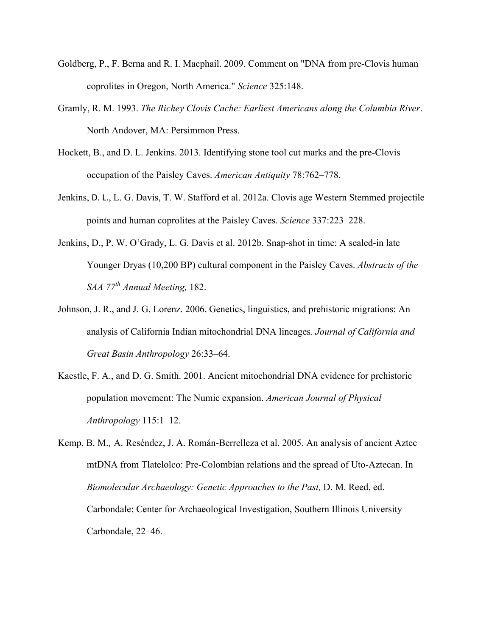- Goldberg, P., F. Berna and R. I. Macphail. 2009. Comment on "DNA from pre-Clovis human coprolites in Oregon, North America." *Science* 325:148.
- Gramly, R. M. 1993. *The Richey Clovis Cache: Earliest Americans along the Columbia River*. North Andover, MA: Persimmon Press.
- Hockett, B., and D. L. Jenkins. 2013. Identifying stone tool cut marks and the pre-Clovis occupation of the Paisley Caves. *American Antiquity* 78:762–778.
- Jenkins, D. L., L. G. Davis, T. W. Stafford et al. 2012a. Clovis age Western Stemmed projectile points and human coprolites at the Paisley Caves. *Science* 337:223–228.
- Jenkins, D., P. W. O'Grady, L. G. Davis et al. 2012b. Snap-shot in time: A sealed-in late Younger Dryas (10,200 BP) cultural component in the Paisley Caves. *Abstracts of the SAA 77th Annual Meeting,* 182.
- Johnson, J. R., and J. G. Lorenz. 2006. Genetics, linguistics, and prehistoric migrations: An analysis of California Indian mitochondrial DNA lineages*. Journal of California and Great Basin Anthropology* 26:33–64.
- Kaestle, F. A., and D. G. Smith. 2001. Ancient mitochondrial DNA evidence for prehistoric population movement: The Numic expansion. *American Journal of Physical Anthropology* 115:1–12.
- Kemp, B. M., A. Reséndez, J. A. Román-Berrelleza et al. 2005. An analysis of ancient Aztec mtDNA from Tlatelolco: Pre-Colombian relations and the spread of Uto-Aztecan. In *Biomolecular Archaeology: Genetic Approaches to the Past,* D. M. Reed, ed. Carbondale: Center for Archaeological Investigation, Southern Illinois University Carbondale, 22–46.